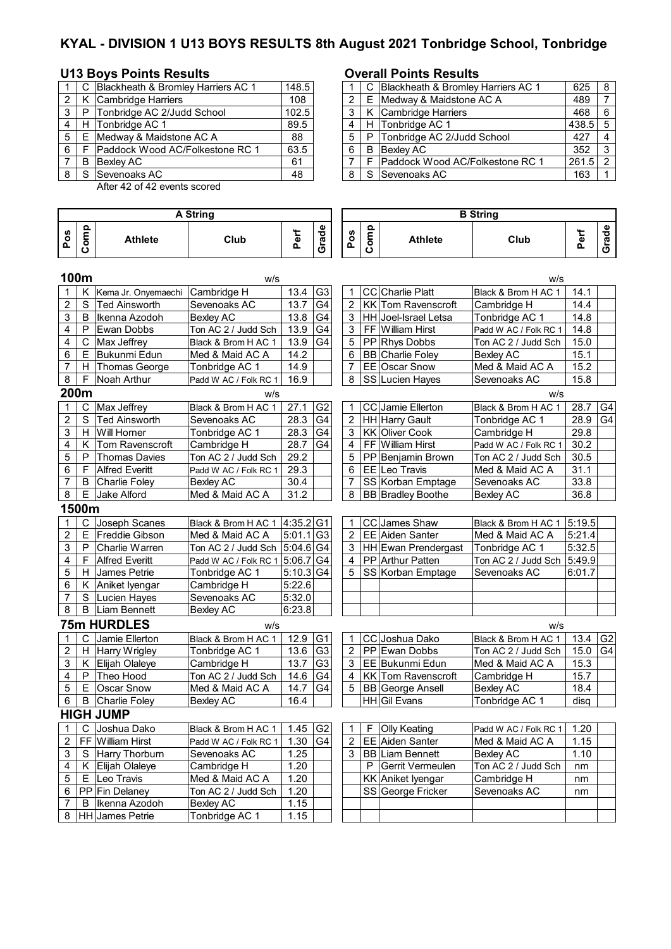# **KYAL - DIVISION 1 U13 BOYS RESULTS 8th August 2021 Tonbridge School, Tonbridge**

# **U13 Boys Points Results Overall Points Results**

|   |    | C Blackheath & Bromley Harriers AC 1 | 148.5 |   | C Blackheath & Bromley Harriers AC 1 |
|---|----|--------------------------------------|-------|---|--------------------------------------|
|   |    | K Cambridge Harriers                 | 108   |   | E Medway & Maidstone AC A            |
|   | P. | Tonbridge AC 2/Judd School           | 102.5 |   | K Cambridge Harriers                 |
|   |    | H Tonbridge AC 1                     | 89.5  | 4 | H Tonbridge AC 1                     |
| 5 |    | E IMedway & Maidstone AC A           | 88    |   | P Tonbridge AC 2/Judd School         |
| 6 |    | F Paddock Wood AC/Folkestone RC 1    | 63.5  | 6 | <b>B</b> Bexlev AC                   |
|   | B  | <b>Bexley AC</b>                     | 61    |   | F Paddock Wood AC/Folkestone RC 1    |
|   |    | S Sevenoaks AC                       | 48    |   | S Sevenoaks AC                       |

After 42 of 42 events scored

|                | <b>A String</b> |                        |                               |             |                 |                |      |                           |                         |        |                |
|----------------|-----------------|------------------------|-------------------------------|-------------|-----------------|----------------|------|---------------------------|-------------------------|--------|----------------|
| Pos            | Comp            | Athlete                | Club                          | Perf        | Grade           | Pos            | Comp | <b>Athlete</b>            | <b>B</b> String<br>Club | Perf   | Grade          |
|                | 100m            |                        | w/s                           |             |                 |                |      |                           | w/s                     |        |                |
| 1              | Κ               | Kema Jr. Onyemaechi    | Cambridge H                   | 13.4        | G <sub>3</sub>  | 1              |      | <b>CC</b> Charlie Platt   | Black & Brom H AC 1     | 14.1   |                |
| $\overline{2}$ | $\mathsf{S}$    | <b>Ted Ainsworth</b>   | Sevenoaks AC                  | 13.7        | G <sub>4</sub>  | $\overline{2}$ |      | KK Tom Ravenscroft        | Cambridge H             | 14.4   |                |
| 3              | B               | Ikenna Azodoh          | <b>Bexley AC</b>              | 13.8        | G4              | 3              |      | HH Joel-Israel Letsa      | Tonbridge AC 1          | 14.8   |                |
| 4              | P               | Ewan Dobbs             | Ton AC 2 / Judd Sch           | 13.9        | G4              | 3              |      | FF William Hirst          | Padd W AC / Folk RC 1   | 14.8   |                |
| $\overline{4}$ | C               | Max Jeffrey            | Black & Brom H AC 1           | 13.9        | G <sub>4</sub>  | 5              |      | PP Rhys Dobbs             | Ton AC 2 / Judd Sch     | 15.0   |                |
| 6              | Е               | Bukunmi Edun           | Med & Maid AC A               | 14.2        |                 | 6              |      | <b>BB</b> Charlie Foley   | <b>Bexley AC</b>        | 15.1   |                |
| $\overline{7}$ |                 | H Thomas George        | Tonbridge AC 1                | 14.9        |                 | $\overline{7}$ |      | EE Oscar Snow             | Med & Maid AC A         | 15.2   |                |
| 8              | F               | Noah Arthur            | Padd W AC / Folk RC 1         | 16.9        |                 | 8              |      | SS Lucien Hayes           | Sevenoaks AC            | 15.8   |                |
|                | 200m            |                        | W/S                           |             |                 |                |      |                           | W/S                     |        |                |
| 1              | C               | Max Jeffrey            | Black & Brom H AC 1           | 27.1        | G <sub>2</sub>  | 1              |      | CC Jamie Ellerton         | Black & Brom H AC 1     | 28.7   | G <sub>4</sub> |
| $\overline{c}$ | $\overline{s}$  | <b>Ted Ainsworth</b>   | Sevenoaks AC                  | 28.3        | G4              | $\overline{2}$ |      | <b>HH</b> Harry Gault     | Tonbridge AC 1          | 28.9   | G4             |
| 3              | H.              | Will Horner            | Tonbridge AC 1                | 28.3        | G4              | 3              |      | KK Oliver Cook            | Cambridge H             | 29.8   |                |
| 4              | K.              | Tom Ravenscroft        | Cambridge H                   | 28.7        | $\overline{G}4$ | 4              |      | FF William Hirst          | Padd W AC / Folk RC 1   | 30.2   |                |
| 5              | P               | <b>Thomas Davies</b>   | Ton AC 2 / Judd Sch           | 29.2        |                 | 5              |      | PP Benjamin Brown         | Ton AC 2 / Judd Sch     | 30.5   |                |
| 6              | F               | <b>Alfred Everitt</b>  | Padd W AC / Folk RC 1         | 29.3        |                 | 6              |      | EE Leo Travis             | Med & Maid AC A         | 31.1   |                |
| 7              | B               | <b>Charlie Foley</b>   | <b>Bexley AC</b>              | 30.4        |                 | 7              |      | SS Korban Emptage         | Sevenoaks AC            | 33.8   |                |
| 8              | Е               | <b>Jake Alford</b>     | Med & Maid AC A               | 31.2        |                 | 8              |      | <b>BB</b> Bradley Boothe  | <b>Bexley AC</b>        | 36.8   |                |
|                | 1500m           |                        |                               |             |                 |                |      |                           |                         |        |                |
| 1              | C               | Joseph Scanes          | Black & Brom H AC 1 4:35.2 G1 |             |                 | 1              |      | CC James Shaw             | Black & Brom H AC 1     | 5:19.5 |                |
| $\overline{2}$ | Е               | Freddie Gibson         | Med & Maid AC A               | $5:01.1$ G3 |                 | $\overline{2}$ |      | EE Aiden Santer           | Med & Maid AC A         | 5:21.4 |                |
| 3              | P               | Charlie Warren         | Ton AC 2 / Judd Sch           | 5:04.6 G4   |                 | 3              |      | HH Ewan Prendergast       | Tonbridge AC 1          | 5:32.5 |                |
| 4              | F               | <b>Alfred Everitt</b>  | Padd W AC / Folk RC 1         | 5:06.7      | G4              | 4              |      | PP Arthur Patten          | Ton AC 2 / Judd Sch     | 5:49.9 |                |
| 5              | H               | <b>James Petrie</b>    | Tonbridge AC 1                | $5:10.3$ G4 |                 | 5              |      | SS Korban Emptage         | Sevenoaks AC            | 6:01.7 |                |
| 6              | K.              | Aniket Iyengar         | Cambridge H                   | 5:22.6      |                 |                |      |                           |                         |        |                |
| 7              | S               | Lucien Hayes           | Sevenoaks AC                  | 5:32.0      |                 |                |      |                           |                         |        |                |
| 8              | B               | <b>Liam Bennett</b>    | <b>Bexley AC</b>              | 6:23.8      |                 |                |      |                           |                         |        |                |
|                |                 | 75m HURDLES            | W/S                           |             |                 |                |      |                           | W/S                     |        |                |
| 1              | C               | Jamie Ellerton         | Black & Brom H AC 1           | 12.9        | G <sub>1</sub>  | 1              |      | CC Joshua Dako            | Black & Brom H AC 1     | 13.4   | G <sub>2</sub> |
| 2              |                 | H Harry Wrigley        | Tonbridge AC 1                | 13.6        | G <sub>3</sub>  | 2              |      | PP Ewan Dobbs             | Ton AC 2 / Judd Sch     | 15.0   | G <sub>4</sub> |
| 3              | K               | Elijah Olaleye         | Cambridge H                   | 13.7        | G <sub>3</sub>  | 3              |      | EE Bukunmi Edun           | Med & Maid AC A         | 15.3   |                |
| 4              | P               | Theo Hood              | Ton AC 2 / Judd Sch           | 14.6        | G4              | 4              |      | <b>KK Tom Ravenscroft</b> | Cambridge H             | 15.7   |                |
| 5              | Е               | <b>Oscar Snow</b>      | Med & Maid AC A               | 14.7        | G4              | 5              |      | <b>BB</b> George Ansell   | <b>Bexley AC</b>        | 18.4   |                |
| 6              | B               | <b>Charlie Foley</b>   | <b>Bexley AC</b>              | 16.4        |                 |                |      | HH Gil Evans              | Tonbridge AC 1          | disq   |                |
|                |                 | <b>HIGH JUMP</b>       |                               |             |                 |                |      |                           |                         |        |                |
| 1              | C.              | Joshua Dako            | Black & Brom H AC 1           | 1.45        | G <sub>2</sub>  | 1              | F    | <b>Olly Keating</b>       | Padd W AC / Folk RC 1   | 1.20   |                |
| $\overline{c}$ |                 | FF William Hirst       | Padd W AC / Folk RC 1         | 1.30        | G <sub>4</sub>  | 2              |      | EE Aiden Santer           | Med & Maid AC A         | 1.15   |                |
| 3              |                 | S Harry Thorburn       | Sevenoaks AC                  | 1.25        |                 | 3              |      | <b>BB</b> Liam Bennett    | <b>Bexley AC</b>        | 1.10   |                |
| 4              |                 | K Elijah Olaleye       | Cambridge H                   | 1.20        |                 |                | P    | Gerrit Vermeulen          | Ton AC 2 / Judd Sch     | nm     |                |
| $\mathbf 5$    |                 | E Leo Travis           | Med & Maid AC A               | 1.20        |                 |                |      | <b>KK</b> Aniket Iyengar  | Cambridge H             | nm     |                |
| 6              |                 | PP Fin Delaney         | Ton AC 2 / Judd Sch           | 1.20        |                 |                |      | SS George Fricker         | Sevenoaks AC            | nm     |                |
| 7              | B               | Ikenna Azodoh          | Bexley AC                     | 1.15        |                 |                |      |                           |                         |        |                |
| 8              |                 | <b>HH</b> James Petrie | Tonbridge AC 1                | 1.15        |                 |                |      |                           |                         |        |                |

| C Blackheath & Bromley Harriers AC 1<br>148.5<br>C Blackheath & Bromley Harriers AC 1<br>108<br>Medway & Maidstone AC A<br>Cambridge Harriers<br>Е<br>102.5<br>Tonbridge AC 2/Judd School<br>K Cambridge Harriers<br>P | 625<br>489<br>468 | -8<br>- 6 |
|------------------------------------------------------------------------------------------------------------------------------------------------------------------------------------------------------------------------|-------------------|-----------|
| 2 I<br>3 I                                                                                                                                                                                                             |                   |           |
|                                                                                                                                                                                                                        |                   |           |
|                                                                                                                                                                                                                        |                   |           |
| 89.5<br>Tonbridge AC 1<br>Tonbridge AC 1<br>4<br>Н<br>H.                                                                                                                                                               | $438.5$ 5         |           |
| 5   E<br>Tonbridge AC 2/Judd School<br>Medway & Maidstone AC A<br>88<br>P                                                                                                                                              | 427               |           |
| 6 I<br>63.5<br><b>Paddock Wood AC/Folkestone RC 1</b><br>Bexley AC<br>B                                                                                                                                                | 352               | -3        |
| Paddock Wood AC/Folkestone RC 1<br>61<br>Bexley AC<br>F.<br>B                                                                                                                                                          | $261.5$ 2         |           |
| 8 S<br>Sevenoaks AC<br>48<br>S Sevenoaks AC                                                                                                                                                                            | 163               |           |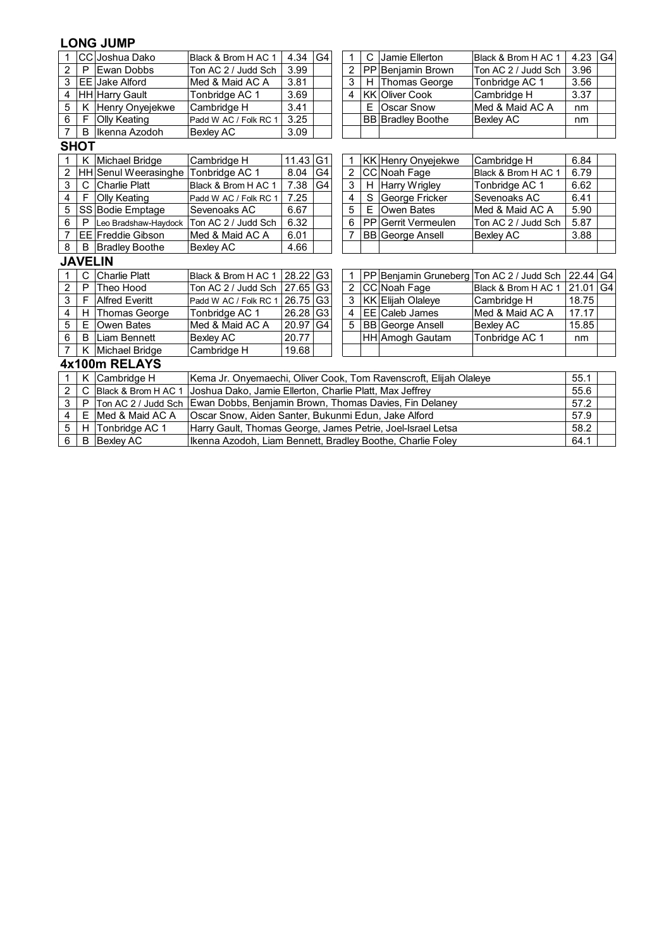# **LONG JUMP**

| 1              | CС             | Joshua Dako              | Black & Brom H AC 1                                               | 4.34                                                                       | G <sub>4</sub> |  | 1              | C | Jamie Ellerton                            | Black & Brom H AC 1 | $4.23 \mid G4$ |                |  |
|----------------|----------------|--------------------------|-------------------------------------------------------------------|----------------------------------------------------------------------------|----------------|--|----------------|---|-------------------------------------------|---------------------|----------------|----------------|--|
| 2              | P              | Ewan Dobbs               | Ton AC 2 / Judd Sch                                               | 3.99                                                                       |                |  | 2              |   | PP Benjamin Brown                         | Ton AC 2 / Judd Sch | 3.96           |                |  |
| 3              |                | <b>EE Jake Alford</b>    | Med & Maid AC A                                                   | 3.81                                                                       |                |  | 3              | H | <b>Thomas George</b>                      | Tonbridge AC 1      | 3.56           |                |  |
| 4              |                | <b>HH Harry Gault</b>    | Tonbridge AC 1                                                    | 3.69                                                                       |                |  | 4              |   | <b>KK Oliver Cook</b>                     | Cambridge H         | 3.37           |                |  |
| 5              | K.             | Henry Onyejekwe          | Cambridge H                                                       | 3.41                                                                       |                |  |                | Е | Oscar Snow                                | Med & Maid AC A     | nm             |                |  |
| 6              | F              | Olly Keating             | Padd W AC / Folk RC 1                                             | 3.25                                                                       |                |  |                |   | <b>BB</b> Bradley Boothe                  | Bexley AC           | nm             |                |  |
| $\overline{7}$ | B              | Ikenna Azodoh            | <b>Bexley AC</b>                                                  | 3.09                                                                       |                |  |                |   |                                           |                     |                |                |  |
|                | <b>SHOT</b>    |                          |                                                                   |                                                                            |                |  |                |   |                                           |                     |                |                |  |
|                | K              | Michael Bridge           | Cambridge H                                                       | 11.43                                                                      | G <sub>1</sub> |  | 1              |   | KK Henry Onyejekwe                        | Cambridge H         | 6.84           |                |  |
| 2              |                | HH Senul Weerasinghe     | Tonbridge AC 1                                                    | G <sub>4</sub><br>8.04<br>2<br>CC Noah Fage<br>6.79<br>Black & Brom H AC 1 |                |  |                |   |                                           |                     |                |                |  |
| 3              | C              | <b>Charlie Platt</b>     | Black & Brom H AC 1                                               | 3<br>7.38<br>G4<br>H Harry Wrigley<br>6.62<br>Tonbridge AC 1               |                |  |                |   |                                           |                     |                |                |  |
| 4              | F              | <b>Olly Keating</b>      | Padd W AC / Folk RC 1                                             | $\mathbf S$<br>6.41<br>7.25<br>4<br>George Fricker<br>Sevenoaks AC         |                |  |                |   |                                           |                     |                |                |  |
| 5              |                | SS Bodie Emptage         | Sevenoaks AC                                                      | 5<br>5.90<br>6.67<br>E<br>Owen Bates<br>Med & Maid AC A                    |                |  |                |   |                                           |                     |                |                |  |
| 6              | P              | Leo Bradshaw-Haydock     | Ton AC 2 / Judd Sch                                               | 6.32<br>6<br><b>PP</b> Gerrit Vermeulen<br>Ton AC 2 / Judd Sch             |                |  |                |   |                                           |                     |                |                |  |
| 7              |                | <b>EE</b> Freddie Gibson | Med & Maid AC A                                                   | 6.01                                                                       |                |  | 7              |   | <b>BB</b> George Ansell                   | Bexley AC           | 3.88           |                |  |
| 8              | B              | <b>Bradley Boothe</b>    | Bexley AC                                                         | 4.66                                                                       |                |  |                |   |                                           |                     |                |                |  |
|                | <b>JAVELIN</b> |                          |                                                                   |                                                                            |                |  |                |   |                                           |                     |                |                |  |
|                | С              | <b>Charlie Platt</b>     | Black & Brom H AC 1                                               | 28.22                                                                      | G <sub>3</sub> |  | 1              |   | PP Benjamin Gruneberg Ton AC 2 / Judd Sch |                     | 22.44 G4       |                |  |
| 2              | P              | Theo Hood                | Ton AC 2 / Judd Sch                                               | 27.65 G3                                                                   |                |  | $\overline{2}$ |   | CC Noah Fage                              | Black & Brom H AC 1 | 21.01          | G <sub>4</sub> |  |
| 3              | F              | <b>Alfred Everitt</b>    | Padd W AC / Folk RC 1                                             | 26.75 G3                                                                   |                |  | 3              |   | KK Elijah Olaleye                         | Cambridge H         | 18.75          |                |  |
| 4              | H.             | <b>Thomas George</b>     | Tonbridge AC 1                                                    | 26.28                                                                      | G <sub>3</sub> |  | 4              |   | EE Caleb James                            | Med & Maid AC A     | 17.17          |                |  |
| 5              | E.             | <b>Owen Bates</b>        | Med & Maid AC A                                                   | $20.97$ G4                                                                 |                |  | 5              |   | <b>BB</b> George Ansell                   | <b>Bexley AC</b>    | 15.85          |                |  |
| 6              | B              | Liam Bennett             | <b>Bexley AC</b>                                                  | 20.77                                                                      |                |  |                |   | HH Amogh Gautam                           | Tonbridge AC 1      | nm             |                |  |
| 7              |                | K Michael Bridge         | Cambridge H                                                       | 19.68                                                                      |                |  |                |   |                                           |                     |                |                |  |
|                |                | 4x100m RELAYS            |                                                                   |                                                                            |                |  |                |   |                                           |                     |                |                |  |
| 1              | K.             | Cambridge H              | Kema Jr. Onyemaechi, Oliver Cook, Tom Ravenscroft, Elijah Olaleye |                                                                            |                |  |                |   |                                           |                     | 55.1           |                |  |
| 2              | C              | Black & Brom H AC 1      | Joshua Dako, Jamie Ellerton, Charlie Platt, Max Jeffrey           |                                                                            |                |  |                |   |                                           |                     | 55.6           |                |  |
| 3              | P              | Ton AC 2 / Judd Sch      | Ewan Dobbs, Benjamin Brown, Thomas Davies, Fin Delaney            |                                                                            |                |  |                |   |                                           |                     | 57.2           |                |  |
| 4              | E.             | Med & Maid AC A          | Oscar Snow, Aiden Santer, Bukunmi Edun, Jake Alford               |                                                                            |                |  |                |   |                                           |                     | 57.9           |                |  |
| 5              | H.             | Tonbridge AC 1           | Harry Gault, Thomas George, James Petrie, Joel-Israel Letsa       |                                                                            |                |  |                |   |                                           |                     | 58.2           |                |  |
| 6              | B              | <b>Bexley AC</b>         |                                                                   | Ikenna Azodoh, Liam Bennett, Bradley Boothe, Charlie Foley                 |                |  |                |   |                                           |                     |                |                |  |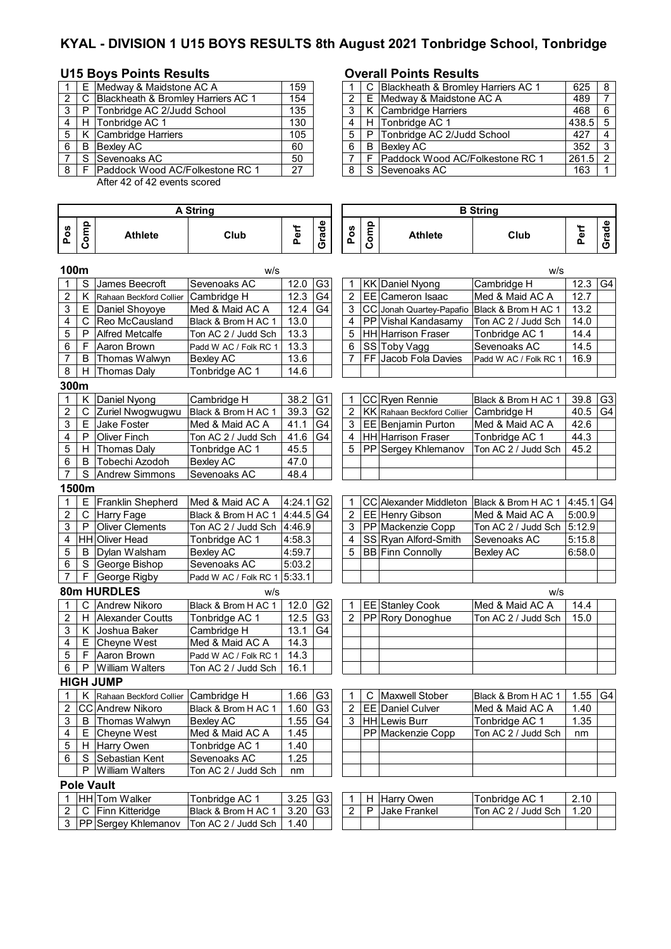# **KYAL - DIVISION 1 U15 BOYS RESULTS 8th August 2021 Tonbridge School, Tonbridge**

## U15 Boys Points Results **COVER 19 BOSE** Overall Points Results

|                |    | E Medway & Maidstone AC A            | 159 |                | C Blackheath & Bromley Harriers AC 1 | $625 \mid 8$ |                |
|----------------|----|--------------------------------------|-----|----------------|--------------------------------------|--------------|----------------|
| $\overline{2}$ |    | C Blackheath & Bromley Harriers AC 1 | 154 | 2 <sub>1</sub> | E Medway & Maidstone AC A            | 489          | $\overline{ }$ |
| 3              | P  | Tonbridge AC 2/Judd School           | 135 |                | K Cambridge Harriers                 | $468 \mid 6$ |                |
| 4              |    | H Tonbridge AC 1                     | 130 | 4              | H Tonbridge AC 1                     | 438.5 5      |                |
|                |    | K Cambridge Harriers                 | 105 |                | P Tonbridge AC 2/Judd School         | 427          | $\overline{4}$ |
| 6              | B  | Bexlev AC                            | 60  | 6              | <b>B</b> Bexlev AC                   | $352 \mid 3$ |                |
|                | S. | Sevenoaks AC                         | 50  |                | F Paddock Wood AC/Folkestone RC 1    | $261.5$ 2    |                |
| 8              |    | Paddock Wood AC/Folkestone RC 1      | 27  |                | S Sevenoaks AC                       | 163          |                |

After 42 of 42 events scored

### **Pos Comp Athlete Club Perf Grade Pos Comp Athlete Club Perf Grade 100m** w/s w/s S |James Beecroft | Sevenoaks AC | 12.0 | G3 | 1 | KK | Daniel Nyong | Cambridge H | 12.3 | G4 K Rahaan Beckford Collier Cambridge H 12.3 G4 | 2 EE Cameron Isaac Med & Maid AC A | 12.7  $3 \mid E$  Daniel Shoyoye Med & Maid AC A  $\mid 12.4 \mid G4 \mid 3 \mid CC$  Jonah Quartey-Papafio Black & Brom H AC 1 | 13.2 4 | C | Reo McCausland | Black & Brom H AC 1 | 13.0 | | | 4 | PP | Vishal Kandasamy | Ton AC 2 / Judd Sch | 14.0 5 P Alfred Metcalfe Ton AC 2 / Judd Sch | 13.3 | | | 5 | HH Harrison Fraser Tonbridge AC 1 | 14.4 6 | F | Aaron Brown | Padd W AC / Folk RC 1 | 13.3 | 6 | SS | Toby Vagg | Sevenoaks AC | 14.5 7 B Thomas Walwyn Bexley AC 13.6 | | 7 FF Jacob Fola Davies Padd W AC / Folk RC 1 | 16.9 8 | H Thomas Daly | Tonbridge AC 1 | 14.6 **300m** 1 | K | Daniel Nyong | Cambridge H | 38.2 | G1 | 1 | CC | Ryen Rennie | Black & Brom H AC 1 | 39.8 | G3 2 | C | Zuriel Nwogwugwu | Black & Brom H AC 1 | 39.3 | G2 | Z | KK Rahaan Beckford Collier | Cambridge H | 40.5 | G4  $3 \mid E$  Jake Foster Med & Maid AC A  $\mid 41.1 \mid G4 \mid 3 \mid EE \mid Benjamin$  Purton Med & Maid AC A  $\mid 42.6$ 4 P Oliver Finch Ton AC 2 / Judd Sch | 41.6 G4 | 4 | HH Harrison Fraser Tonbridge AC 1 | 44.3 5 | H Thomas Daly [Tonbridge AC 1 | 45.5 | | | 5 | PP Sergey Khlemanov | Ton AC 2 / Judd Sch | 45.2 6 | B | Tobechi Azodoh | Bexley AC | 47.0 7 S Andrew Simmons Sevenoaks AC 48.4 **1500m** 1 | E | Franklin Shepherd | Med & Maid AC A | 4:24.1 G2 | | 1 | CC Alexander Middleton | Black & Brom H AC 1 | 4:45.1 G4 2 C Harry Fage Black & Brom H AC 1 4:44.5 G4 2 EE Henry Gibson Med & Maid AC A 5:00.9<br>3 P Oliver Clements Ton AC 2 / Judd Sch 4:46 9 3 PP Mackenzie Copp Ton AC 2 / Judd Sch 5:12 9 3 P Oliver Clements Ton AC 2 / Judd Sch 4:46.9 3 PP Mackenzie Copp Ton AC 2 / Judd Sch 5:12.9 4 HH Oliver Head Tonbridge AC 1 4:58.3 4 SS Ryan Alford-Smith Sevenoaks AC 5:15.8<br>5 B Dylan Walsham Bexley AC 4:59.7 5 BB Finn Connolly Bexley AC 6:58.0 5 B Dylan Walsham Bexley AC 4:59.7 5 BB Finn Connolly Bexley AC 6:58.0 6 S George Bishop Sevenoaks AC 5:03.2  $7 \mid F \mid$  George Rigby Padd W AC / Folk RC 1 5:33.1 **80m HURDLES** w/s w/s 1 | C | Andrew Nikoro | Black & Brom H AC 1 | 12.0 | G2 | | 1 | EE | Stanley Cook | Med & Maid AC A | 14.4 H Alexander Coutts | Tonbridge AC 1 | 12.5 G3 | 2 | PP Rory Donoghue | Ton AC 2 / Judd Sch | 15.0 3 | K Joshua Baker | Cambridge H | 13.1 | G4  $4 \mid E$  Cheyne West Med & Maid AC A | 14.3 5 | F Aaron Brown Padd W AC / Folk RC 1 | 14.3 6 P William Walters Ton AC 2 / Judd Sch 16.1 **HIGH JUMP** 1 | K Rahaan Beckford Collier | Cambridge H | 1.66 | G3 | | 1 | C | Maxwell Stober | Black & Brom H AC 1 | 1.55 | G4 2  $|CC|$ Andrew Nikoro Black & Brom H AC 1 | 1.60  $|G3|$  | 2 | EE Daniel Culver Med & Maid AC A | 1.40 3 | B | Thomas Walwyn | Bexley AC | 1.55 | G4 | 3 | HH | Lewis Burr | Tonbridge AC 1 | 1.35 4 | E Cheyne West Med & Maid AC A | 1.45 | | | | PP Mackenzie Copp | Ton AC 2 / Judd Sch | nm 5 | H | Harry Owen | Tonbridge AC 1 | 1.40 6 S Sebastian Kent Sevenoaks AC 1.25<br>
P William Walters Ton AC 2 / Judd Sch | nm Ton AC 2 / Judd Sch nm **Pole Vault** 1 HH Tom Walker Tonbridge AC 1 3.25 G3 1 H Harry Owen Tonbridge AC 1 2.10<br>2 C Finn Kitteridge Black & Brom H AC 1 3.20 G3 2 P Jake Frankel Ton AC 2 / Judd Sch 1.20 2 | C | Finn Kitteridge | Black & Brom H AC 1 | 3.20 | G3 | 2 | P | Jake Frankel | Ton AC 2 / Judd Sch | 1.20 3 PP Sergey Khlemanov Ton AC 2 / Judd Sch | 1.40 **B String A String**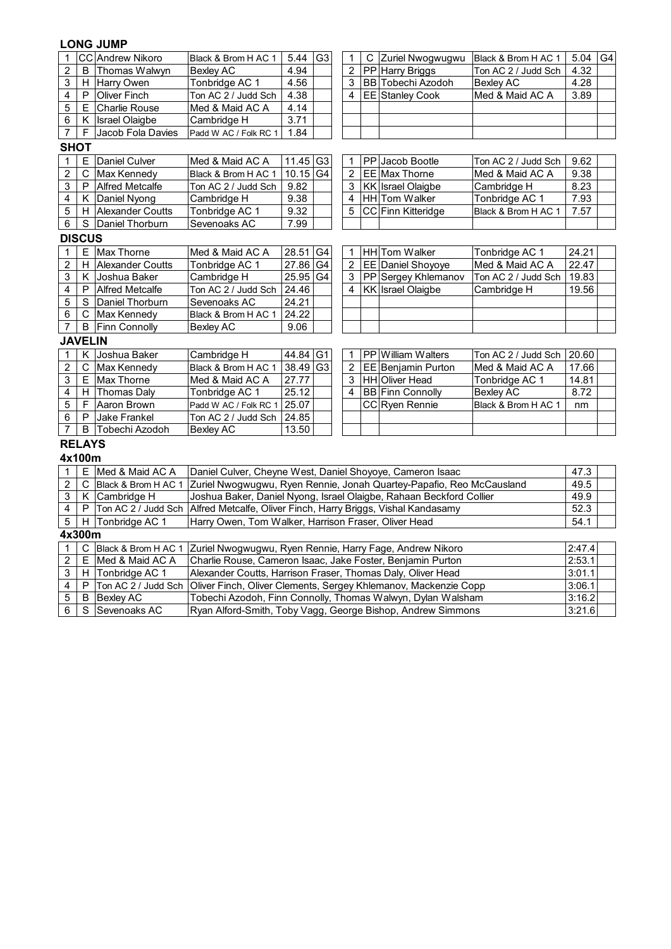# **LONG JUMP**

| 1                       |                | <b>CC</b> Andrew Nikoro | Black & Brom H AC 1                                                   | 5.44                                                                                                                                                | G <sub>3</sub> | 1              |  | C Zuriel Nwogwugwu                                              | Black & Brom H AC 1 | $5.04$ G4 |  |  |  |  |  |
|-------------------------|----------------|-------------------------|-----------------------------------------------------------------------|-----------------------------------------------------------------------------------------------------------------------------------------------------|----------------|----------------|--|-----------------------------------------------------------------|---------------------|-----------|--|--|--|--|--|
| 2                       | B              | Thomas Walwyn           | <b>Bexley AC</b>                                                      | 4.94                                                                                                                                                |                | 2              |  | PP Harry Briggs                                                 | Ton AC 2 / Judd Sch | 4.32      |  |  |  |  |  |
| 3                       | н              | Harry Owen              | Tonbridge AC 1                                                        | 4.56                                                                                                                                                |                | 3              |  | <b>BB</b> Tobechi Azodoh                                        | <b>Bexley AC</b>    | 4.28      |  |  |  |  |  |
| 4                       | P              | <b>Oliver Finch</b>     | Ton AC 2 / Judd Sch                                                   | 4.38                                                                                                                                                |                | 4              |  | EE Stanley Cook                                                 | Med & Maid AC A     | 3.89      |  |  |  |  |  |
| $\mathbf 5$             | E              | <b>Charlie Rouse</b>    | Med & Maid AC A                                                       | 4.14                                                                                                                                                |                |                |  |                                                                 |                     |           |  |  |  |  |  |
| 6                       |                | K   Israel Olaigbe      | Cambridge H                                                           | 3.71                                                                                                                                                |                |                |  |                                                                 |                     |           |  |  |  |  |  |
| $\overline{7}$          | F              | Jacob Fola Davies       | Padd W AC / Folk RC 1                                                 | 1.84                                                                                                                                                |                |                |  |                                                                 |                     |           |  |  |  |  |  |
| <b>SHOT</b>             |                |                         |                                                                       |                                                                                                                                                     |                |                |  |                                                                 |                     |           |  |  |  |  |  |
| 1                       | Е              | Daniel Culver           | Med & Maid AC A                                                       | $11.45$ G <sub>3</sub>                                                                                                                              |                | 1              |  | PP Jacob Bootle                                                 | Ton AC 2 / Judd Sch | 9.62      |  |  |  |  |  |
| $\boldsymbol{2}$        | С              | Max Kennedy             | Black & Brom H AC 1                                                   | 10.15                                                                                                                                               | G <sub>4</sub> | 2              |  | EE Max Thorne                                                   | Med & Maid AC A     | 9.38      |  |  |  |  |  |
| 3                       | P              | <b>Alfred Metcalfe</b>  | Ton AC 2 / Judd Sch                                                   | 9.82                                                                                                                                                |                | $\overline{3}$ |  | <b>KK</b> Israel Olaigbe                                        | Cambridge H         | 8.23      |  |  |  |  |  |
| 4                       | Κ              | Daniel Nyong            | Cambridge H                                                           | 9.38                                                                                                                                                |                | 4              |  | HH Tom Walker                                                   | Tonbridge AC 1      | 7.93      |  |  |  |  |  |
| 5                       | н              | <b>Alexander Coutts</b> | Tonbridge AC 1                                                        | 9.32                                                                                                                                                |                | 5              |  | <b>CC</b> Finn Kitteridge                                       | Black & Brom H AC 1 | 7.57      |  |  |  |  |  |
| 6                       | S              | Daniel Thorburn         | Sevenoaks AC                                                          | 7.99                                                                                                                                                |                |                |  |                                                                 |                     |           |  |  |  |  |  |
|                         | <b>DISCUS</b>  |                         |                                                                       |                                                                                                                                                     |                |                |  |                                                                 |                     |           |  |  |  |  |  |
| 1                       | E              | Max Thorne              | Med & Maid AC A                                                       | HH Tom Walker<br>28.51<br>24.21<br>G4<br>1<br>Tonbridge AC 1                                                                                        |                |                |  |                                                                 |                     |           |  |  |  |  |  |
| $\overline{\mathbf{c}}$ | н              | <b>Alexander Coutts</b> | Tonbridge AC 1                                                        | 27.86<br>G <sub>4</sub><br>$\overline{c}$<br>EE Daniel Shoyoye<br>Med & Maid AC A<br>22.47                                                          |                |                |  |                                                                 |                     |           |  |  |  |  |  |
| 3                       | Κ              | Joshua Baker            | Cambridge H                                                           | 25.95 G4<br>3<br>PP Sergey Khlemanov<br>Ton AC 2 / Judd Sch<br>19.83                                                                                |                |                |  |                                                                 |                     |           |  |  |  |  |  |
| 4                       | P              | <b>Alfred Metcalfe</b>  | Ton AC 2 / Judd Sch                                                   | 24.46                                                                                                                                               |                | $\overline{4}$ |  | KK Israel Olaigbe                                               | Cambridge H         | 19.56     |  |  |  |  |  |
| 5                       | S              | Daniel Thorburn         | Sevenoaks AC                                                          | 24.21                                                                                                                                               |                |                |  |                                                                 |                     |           |  |  |  |  |  |
| 6                       | C              | Max Kennedy             | Black & Brom H AC 1                                                   | 24.22                                                                                                                                               |                |                |  |                                                                 |                     |           |  |  |  |  |  |
| 7                       | В              | <b>Finn Connolly</b>    | <b>Bexley AC</b>                                                      | 9.06                                                                                                                                                |                |                |  |                                                                 |                     |           |  |  |  |  |  |
|                         | <b>JAVELIN</b> |                         |                                                                       |                                                                                                                                                     |                |                |  |                                                                 |                     |           |  |  |  |  |  |
| $\mathbf{1}$            | K              | Joshua Baker            | Cambridge H                                                           | 44.84                                                                                                                                               | G <sub>1</sub> | 1              |  | PP William Walters                                              | Ton AC 2 / Judd Sch | 20.60     |  |  |  |  |  |
| $\overline{2}$          | $\mathsf C$    | Max Kennedy             | Black & Brom H AC 1                                                   | $\overline{38.49}$ G3                                                                                                                               |                | $\overline{2}$ |  | EE Benjamin Purton                                              | Med & Maid AC A     | 17.66     |  |  |  |  |  |
| 3                       | Е              | Max Thorne              | Med & Maid AC A                                                       | 27.77                                                                                                                                               |                | 3              |  | <b>HH</b> Oliver Head                                           | Tonbridge AC 1      | 14.81     |  |  |  |  |  |
| 4                       | н              | Thomas Daly             | Tonbridge AC 1                                                        | 25.12                                                                                                                                               |                | 4              |  | <b>BB</b> Finn Connolly                                         | <b>Bexley AC</b>    | 8.72      |  |  |  |  |  |
| 5                       | F              | Aaron Brown             | Padd W AC / Folk RC 1                                                 | 25.07                                                                                                                                               |                |                |  | CC Ryen Rennie                                                  | Black & Brom H AC 1 | nm        |  |  |  |  |  |
| 6                       | P              | <b>Jake Frankel</b>     | Ton AC 2 / Judd Sch                                                   | 24.85                                                                                                                                               |                |                |  |                                                                 |                     |           |  |  |  |  |  |
| $\overline{7}$          | B              | Tobechi Azodoh          | <b>Bexley AC</b>                                                      | 13.50                                                                                                                                               |                |                |  |                                                                 |                     |           |  |  |  |  |  |
|                         | <b>RELAYS</b>  |                         |                                                                       |                                                                                                                                                     |                |                |  |                                                                 |                     |           |  |  |  |  |  |
|                         | 4x100m         |                         |                                                                       |                                                                                                                                                     |                |                |  |                                                                 |                     |           |  |  |  |  |  |
| $\mathbf{1}$            | Ε              | Med & Maid AC A         | Daniel Culver, Cheyne West, Daniel Shoyoye, Cameron Isaac             |                                                                                                                                                     |                |                |  |                                                                 |                     | 47.3      |  |  |  |  |  |
| $\boldsymbol{2}$        | С              | Black & Brom H AC 1     |                                                                       |                                                                                                                                                     |                |                |  |                                                                 |                     | 49.5      |  |  |  |  |  |
| 3                       | Κ              | Cambridge H             |                                                                       | Zuriel Nwogwugwu, Ryen Rennie, Jonah Quartey-Papafio, Reo McCausland<br>Joshua Baker, Daniel Nyong, Israel Olaigbe, Rahaan Beckford Collier<br>49.9 |                |                |  |                                                                 |                     |           |  |  |  |  |  |
| $\overline{4}$          | P              | Ton AC 2 / Judd Sch     | Alfred Metcalfe, Oliver Finch, Harry Briggs, Vishal Kandasamy<br>52.3 |                                                                                                                                                     |                |                |  |                                                                 |                     |           |  |  |  |  |  |
| $\overline{5}$          | н              | Tonbridge AC 1          | Harry Owen, Tom Walker, Harrison Fraser, Oliver Head                  |                                                                                                                                                     |                |                |  |                                                                 |                     | 54.1      |  |  |  |  |  |
|                         | 4x300m         |                         |                                                                       |                                                                                                                                                     |                |                |  |                                                                 |                     |           |  |  |  |  |  |
| 1                       | C              | Black & Brom H AC 1     | Zuriel Nwogwugwu, Ryen Rennie, Harry Fage, Andrew Nikoro              |                                                                                                                                                     |                |                |  |                                                                 |                     | 2:47.4    |  |  |  |  |  |
| $\overline{2}$          | Е              | Med & Maid AC A         | Charlie Rouse, Cameron Isaac, Jake Foster, Benjamin Purton            |                                                                                                                                                     |                |                |  |                                                                 |                     | 2:53.1    |  |  |  |  |  |
| 3                       | н              | Tonbridge AC 1          | Alexander Coutts, Harrison Fraser, Thomas Daly, Oliver Head           |                                                                                                                                                     |                |                |  |                                                                 |                     | 3:01.1    |  |  |  |  |  |
| 4                       |                | Ton AC 2 / Judd Sch     |                                                                       |                                                                                                                                                     |                |                |  | Oliver Finch, Oliver Clements, Sergey Khlemanov, Mackenzie Copp |                     | 3:06.1    |  |  |  |  |  |
|                         |                |                         |                                                                       |                                                                                                                                                     |                |                |  |                                                                 |                     |           |  |  |  |  |  |
| 5                       | P<br>$\sf B$   | <b>Bexley AC</b>        | Tobechi Azodoh, Finn Connolly, Thomas Walwyn, Dylan Walsham           |                                                                                                                                                     |                |                |  |                                                                 |                     | 3:16.2    |  |  |  |  |  |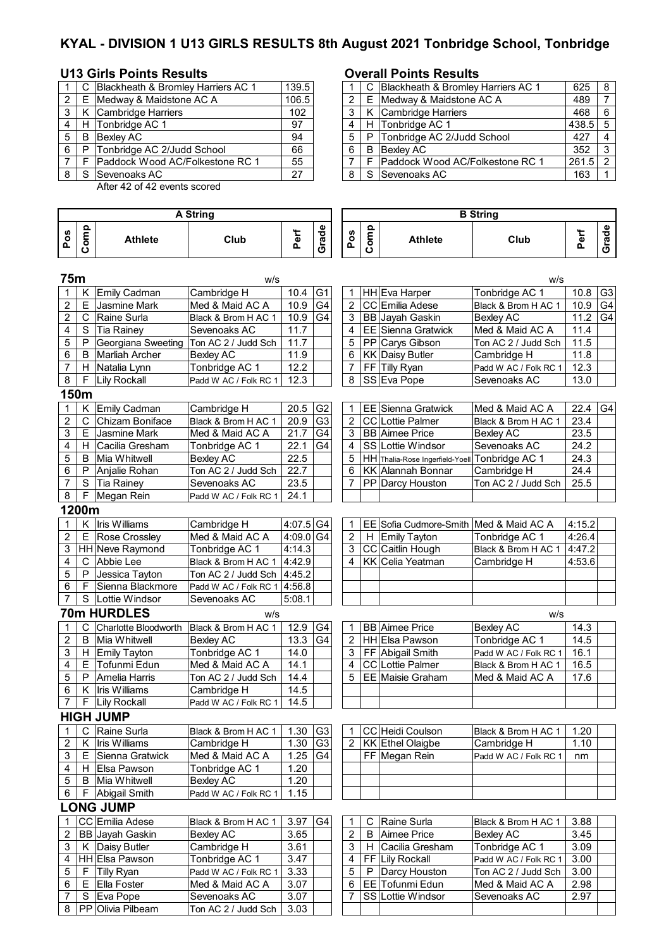# **KYAL - DIVISION 1 U13 GIRLS RESULTS 8th August 2021 Tonbridge School, Tonbridge**

# **U13 Girls Points Results Overall Points Results**

|   |   | C Blackheath & Bromley Harriers AC 1   | 139.5 |   | C Blackheath & Bromley Harriers AC 1 |
|---|---|----------------------------------------|-------|---|--------------------------------------|
|   |   | E Medway & Maidstone AC A              | 106.5 |   | E Medway & Maidstone AC A            |
|   |   | K Cambridge Harriers                   | 102   |   | K Cambridge Harriers                 |
|   |   | H Tonbridge AC 1                       | 97    | 4 | H Tonbridge AC 1                     |
| 5 | B | <b>Bexley AC</b>                       | 94    |   | P Tonbridge AC 2/Judd School         |
| 6 | P | Tonbridge AC 2/Judd School             | 66    | 6 | <b>B</b> Bexlev AC                   |
|   |   | <b>Paddock Wood AC/Folkestone RC 1</b> | 55    |   | F Paddock Wood AC/Folkestone RC 1    |
|   |   | S Sevenoaks AC                         | 27    |   | S Sevenoaks AC                       |

After 42 of 42 events scored

|                  |                |                       | <b>A String</b>       |           |                        | <b>B</b> String  |      |                                        |                       |        |                 |  |
|------------------|----------------|-----------------------|-----------------------|-----------|------------------------|------------------|------|----------------------------------------|-----------------------|--------|-----------------|--|
| Pos              | Comp           | <b>Athlete</b>        | Club                  | Perf      | Grade                  | Pos              | Comp | <b>Athlete</b>                         | Club                  | Perf   | Grade           |  |
| 75m              |                |                       | w/s                   |           |                        |                  |      |                                        | w/s                   |        |                 |  |
| 1                | Κ              | Emily Cadman          | Cambridge H           | 10.4      | G <sub>1</sub>         | 1                |      | HH Eva Harper                          | Tonbridge AC 1        | 10.8   | G <sub>3</sub>  |  |
| $\overline{2}$   | E              | <b>Jasmine Mark</b>   | Med & Maid AC A       | 10.9      | G <sub>4</sub>         | $\overline{2}$   |      | <b>CC</b> Emilia Adese                 | Black & Brom H AC 1   | 10.9   | G <sub>4</sub>  |  |
| $\overline{2}$   | C              | Raine Surla           | Black & Brom H AC 1   | 10.9      | G <sub>4</sub>         | 3                |      | BB Jayah Gaskin                        | <b>Bexley AC</b>      | 11.2   | $\overline{G}4$ |  |
| 4                | S              | Tia Rainey            | Sevenoaks AC          | 11.7      |                        | 4                |      | <b>EE Sienna Gratwick</b>              | Med & Maid AC A       | 11.4   |                 |  |
| 5                | P              | Georgiana Sweeting    | Ton AC 2 / Judd Sch   | 11.7      |                        | 5                |      | PP Carys Gibson                        | Ton AC 2 / Judd Sch   | 11.5   |                 |  |
| 6                | B              | <b>Marliah Archer</b> | <b>Bexley AC</b>      | 11.9      |                        | 6                |      | <b>KK Daisy Butler</b>                 | Cambridge H           | 11.8   |                 |  |
| $\overline{7}$   |                | H Natalia Lynn        | Tonbridge AC 1        | 12.2      |                        | $\overline{7}$   |      | FF Tilly Ryan                          | Padd W AC / Folk RC 1 | 12.3   |                 |  |
| 8                | F.             | <b>Lily Rockall</b>   | Padd W AC / Folk RC 1 | 12.3      |                        | 8                |      | SS Eva Pope                            | Sevenoaks AC          | 13.0   |                 |  |
|                  | 150m           |                       |                       |           |                        |                  |      |                                        |                       |        |                 |  |
| $\mathbf{1}$     | K              | <b>Emily Cadman</b>   | Cambridge H           | 20.5      | G <sub>2</sub>         | 1                |      | <b>EE</b> Sienna Gratwick              | Med & Maid AC A       | 22.4   | G <sub>4</sub>  |  |
| $\overline{c}$   | C              | Chizam Boniface       | Black & Brom H AC 1   | 20.9      | G <sub>3</sub>         | $\overline{2}$   |      | CC Lottie Palmer                       | Black & Brom H AC 1   | 23.4   |                 |  |
| 3                | E              | Jasmine Mark          | Med & Maid AC A       | 21.7      | G <sub>4</sub>         | 3                |      | <b>BB</b> Aimee Price                  | <b>Bexley AC</b>      | 23.5   |                 |  |
| 4                | H.             | Cacilia Gresham       | Tonbridge AC 1        | 22.1      | G <sub>4</sub>         | 4                |      | SS Lottie Windsor                      | Sevenoaks AC          | 24.2   |                 |  |
| 5                | B              | Mia Whitwell          | <b>Bexley AC</b>      | 22.5      |                        | 5                |      | HH Thalia-Rose Ingerfield-Yoell        | Tonbridge AC 1        | 24.3   |                 |  |
| 6                | P              | Anjalie Rohan         | Ton AC 2 / Judd Sch   | 22.7      |                        | 6                |      | <b>KK Alannah Bonnar</b>               | Cambridge H           | 24.4   |                 |  |
| $\overline{7}$   | $\overline{s}$ | <b>Tia Rainey</b>     | Sevenoaks AC          | 23.5      |                        | 7                |      | PP Darcy Houston                       | Ton AC 2 / Judd Sch   | 25.5   |                 |  |
| 8                | F              | Megan Rein            | Padd W AC / Folk RC 1 | 24.1      |                        |                  |      |                                        |                       |        |                 |  |
|                  | 1200m          |                       |                       |           |                        |                  |      |                                        |                       |        |                 |  |
| 1                |                | K   Iris Williams     | Cambridge H           | 4:07.5 G4 |                        | $\mathbf 1$      |      | EE Sofia Cudmore-Smith Med & Maid AC A |                       | 4:15.2 |                 |  |
| $\overline{2}$   | Е              | <b>Rose Crossley</b>  | Med & Maid AC A       | 4:09.0 G4 |                        | $\overline{c}$   |      | H Emily Tayton                         | Tonbridge AC 1        | 4:26.4 |                 |  |
| 3                |                | HH Neve Raymond       | Tonbridge AC 1        | 4:14.3    |                        | 3                |      | CC Caitlin Hough                       | Black & Brom H AC 1   | 4:47.2 |                 |  |
| 4                | C              | Abbie Lee             | Black & Brom H AC 1   | 4:42.9    |                        | 4                |      | KK Celia Yeatman                       | Cambridge H           | 4:53.6 |                 |  |
| 5                | P              | Jessica Tayton        | Ton AC 2 / Judd Sch   | 4:45.2    |                        |                  |      |                                        |                       |        |                 |  |
| 6                | F              | Sienna Blackmore      | Padd W AC / Folk RC 1 | 4:56.8    |                        |                  |      |                                        |                       |        |                 |  |
| $\overline{7}$   | S              | Lottie Windsor        | Sevenoaks AC          | 5:08.1    |                        |                  |      |                                        |                       |        |                 |  |
|                  |                | <b>70m HURDLES</b>    | W/S                   |           |                        |                  |      |                                        | W/S                   |        |                 |  |
| 1                | С              | Charlotte Bloodworth  | Black & Brom H AC 1   | 12.9      | G4                     | 1                |      | <b>BB</b> Aimee Price                  | <b>Bexley AC</b>      | 14.3   |                 |  |
| $\boldsymbol{2}$ | B              | Mia Whitwell          | <b>Bexley AC</b>      | 13.3      | G4                     | 2                |      | HH Elsa Pawson                         | Tonbridge AC 1        | 14.5   |                 |  |
| 3                |                | H Emily Tayton        | Tonbridge AC 1        | 14.0      |                        | 3                |      | FF Abigail Smith                       | Padd W AC / Folk RC 1 | 16.1   |                 |  |
| 4                | E              | Tofunmi Edun          | Med & Maid AC A       | 14.1      |                        | 4                |      | <b>CC</b> Lottie Palmer                | Black & Brom H AC 1   | 16.5   |                 |  |
| 5                | P              | Amelia Harris         | Ton AC 2 / Judd Sch   | 14.4      |                        | 5                |      | EE Maisie Graham                       | Med & Maid AC A       | 17.6   |                 |  |
| 6                | Κ              | Iris Williams         | Cambridge H           | 14.5      |                        |                  |      |                                        |                       |        |                 |  |
| $\overline{7}$   | F              | <b>Lily Rockall</b>   | Padd W AC / Folk RC 1 | 14.5      |                        |                  |      |                                        |                       |        |                 |  |
|                  |                | <b>HIGH JUMP</b>      |                       |           |                        |                  |      |                                        |                       |        |                 |  |
| 1                | C              | Raine Surla           | Black & Brom H AC 1   | 1.30      | G <sub>3</sub>         | 1                |      | CC Heidi Coulson                       | Black & Brom H AC 1   | 1.20   |                 |  |
| 2                | Κ              | Iris Williams         | Cambridge H           | 1.30      | G <sub>3</sub>         | $\overline{2}$   |      | KK Ethel Olaigbe                       | Cambridge H           | 1.10   |                 |  |
| 3                | Е.             | Sienna Gratwick       | Med & Maid AC A       | 1.25      | $\overline{\text{G4}}$ |                  |      | FF Megan Rein                          | Padd W AC / Folk RC 1 | nm     |                 |  |
| 4                |                | H Elsa Pawson         | Tonbridge AC 1        | 1.20      |                        |                  |      |                                        |                       |        |                 |  |
| 5                |                | <b>B</b> Mia Whitwell | Bexley AC             | 1.20      |                        |                  |      |                                        |                       |        |                 |  |
| 6                | F.             | Abigail Smith         | Padd W AC / Folk RC 1 | 1.15      |                        |                  |      |                                        |                       |        |                 |  |
|                  |                | <b>LONG JUMP</b>      |                       |           |                        |                  |      |                                        |                       |        |                 |  |
| 1                |                | CC Emilia Adese       | Black & Brom H AC 1   | 3.97      | G <sub>4</sub>         | 1                | С    | Raine Surla                            | Black & Brom H AC 1   | 3.88   |                 |  |
| $\boldsymbol{2}$ |                | BB Jayah Gaskin       | <b>Bexley AC</b>      | 3.65      |                        | $\boldsymbol{2}$ | B    | <b>Aimee Price</b>                     | <b>Bexley AC</b>      | 3.45   |                 |  |
| 3                | K              | Daisy Butler          | Cambridge H           | 3.61      |                        | 3                | H.   | Cacilia Gresham                        | Tonbridge AC 1        | 3.09   |                 |  |
| 4                |                | HH Elsa Pawson        | Tonbridge AC 1        | 3.47      |                        | 4                | FF.  | Lily Rockall                           | Padd W AC / Folk RC 1 | 3.00   |                 |  |
| 5                | F.             | <b>Tilly Ryan</b>     | Padd W AC / Folk RC 1 | 3.33      |                        | 5                | P    | Darcy Houston                          | Ton AC 2 / Judd Sch   | 3.00   |                 |  |
| 6                | Е.             | Ella Foster           | Med & Maid AC A       | 3.07      |                        | 6                |      | EE Tofunmi Edun                        | Med & Maid AC A       | 2.98   |                 |  |
| 7                | S              | Eva Pope              | Sevenoaks AC          | 3.07      |                        | 7                |      | SS Lottie Windsor                      | Sevenoaks AC          | 2.97   |                 |  |
| 8                |                | PP Olivia Pilbeam     | Ton AC 2 / Judd Sch   | 3.03      |                        |                  |      |                                        |                       |        |                 |  |

|       |       | C Blackheath & Bromley Harriers AC 1 | 139.5 |   | C. | Blackheath & Bromley Harriers AC 1     | 625   | 8 |
|-------|-------|--------------------------------------|-------|---|----|----------------------------------------|-------|---|
|       | 2 I E | Medway & Maidstone AC A              | 106.5 |   | F. | Medway & Maidstone AC A                | 489   |   |
| 3 I   |       | Cambridge Harriers                   | 102   |   |    | K Cambridge Harriers                   | 468   |   |
| 4 I   |       | H Tonbridge AC 1                     | 97    |   |    | H Tonbridge AC 1                       | 438.5 |   |
| 5   B |       | Bexley AC                            | 94    |   |    | P Tonbridge AC 2/Judd School           | 427   |   |
| 6 I P |       | Tonbridge AC 2/Judd School           | 66    | 6 | B  | Bexley AC                              | 352   |   |
|       |       | Paddock Wood AC/Folkestone RC 1      | 55    |   | E. | <b>Paddock Wood AC/Folkestone RC 1</b> | 261.5 |   |
| 8     | - S   | Sevenoaks AC                         | 27    |   |    | S Sevenoaks AC                         | 163   |   |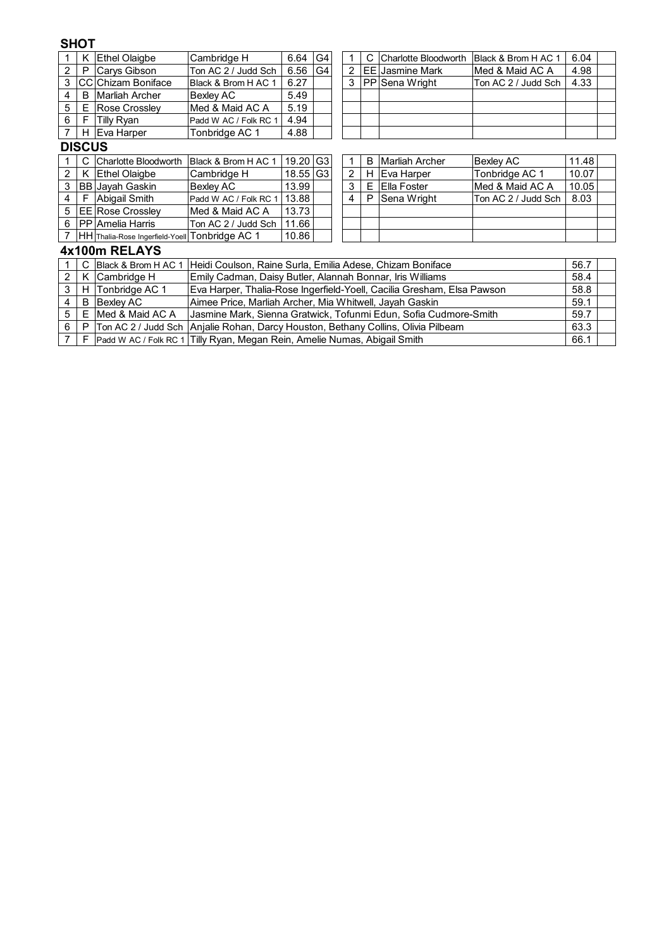## **SHOT**

|   | ĸ             | <b>Ethel Olaigbe</b>                           | Cambridge H                                                       | 6.64                                                                                    | G4 |  |   |   | Charlotte Bloodworth                                                   | Black & Brom H AC 1 | 6.04 |  |  |
|---|---------------|------------------------------------------------|-------------------------------------------------------------------|-----------------------------------------------------------------------------------------|----|--|---|---|------------------------------------------------------------------------|---------------------|------|--|--|
| 2 | P             | Carys Gibson                                   | Ton AC 2 / Judd Sch                                               | 6.56                                                                                    | G4 |  | 2 |   | <b>EE</b> Jasmine Mark                                                 | Med & Maid AC A     | 4.98 |  |  |
| 3 |               | <b>CC</b> IChizam Boniface                     | Black & Brom H AC 1                                               | 6.27                                                                                    |    |  | 3 |   | PP Sena Wright                                                         | Ton AC 2 / Judd Sch | 4.33 |  |  |
| 4 | B             | <b>IMarliah Archer</b>                         | Bexley AC                                                         | 5.49                                                                                    |    |  |   |   |                                                                        |                     |      |  |  |
| 5 | Е             | Rose Crossley                                  | Med & Maid AC A                                                   | 5.19                                                                                    |    |  |   |   |                                                                        |                     |      |  |  |
| 6 | F             | Tilly Ryan                                     | Padd W AC / Folk RC 1                                             | 4.94                                                                                    |    |  |   |   |                                                                        |                     |      |  |  |
|   | H.            | Eva Harper                                     | Tonbridge AC 1                                                    | 4.88                                                                                    |    |  |   |   |                                                                        |                     |      |  |  |
|   | <b>DISCUS</b> |                                                |                                                                   |                                                                                         |    |  |   |   |                                                                        |                     |      |  |  |
|   |               | Charlotte Bloodworth                           | Black & Brom H AC 1                                               | 19.20<br>G <sub>3</sub><br><b>Marliah Archer</b><br>11.48<br>Bexley AC<br>1<br>в        |    |  |   |   |                                                                        |                     |      |  |  |
| 2 |               | K Ethel Olaigbe                                | Cambridge H                                                       | $\overline{2}$<br>10.07<br>18.55<br>G <sub>3</sub><br>Eva Harper<br>Tonbridge AC 1<br>н |    |  |   |   |                                                                        |                     |      |  |  |
| 3 |               | <b>BB</b> Jayah Gaskin                         | Bexley AC                                                         | 13.99<br>3<br>Ella Foster<br>Med & Maid AC A<br>10.05<br>Е                              |    |  |   |   |                                                                        |                     |      |  |  |
| 4 | F             | Abigail Smith                                  | Padd W AC / Folk RC 1                                             | 13.88                                                                                   |    |  | 4 | P | Sena Wright                                                            | Ton AC 2 / Judd Sch | 8.03 |  |  |
| 5 |               | <b>EE Rose Crossley</b>                        | Med & Maid AC A                                                   | 13.73                                                                                   |    |  |   |   |                                                                        |                     |      |  |  |
| 6 |               | <b>PP</b> Amelia Harris                        | Ton AC 2 / Judd Sch                                               | 11.66                                                                                   |    |  |   |   |                                                                        |                     |      |  |  |
|   |               | HH Thalia-Rose Ingerfield-Yoell Tonbridge AC 1 |                                                                   | 10.86                                                                                   |    |  |   |   |                                                                        |                     |      |  |  |
|   |               | 4x100m RELAYS                                  |                                                                   |                                                                                         |    |  |   |   |                                                                        |                     |      |  |  |
|   |               | Black & Brom H AC 1                            | Heidi Coulson, Raine Surla, Emilia Adese, Chizam Boniface<br>56.7 |                                                                                         |    |  |   |   |                                                                        |                     |      |  |  |
| 2 |               | K Cambridge H                                  | Emily Cadman, Daisy Butler, Alannah Bonnar, Iris Williams<br>58.4 |                                                                                         |    |  |   |   |                                                                        |                     |      |  |  |
| 3 | нı            | Tonbridge AC 1                                 |                                                                   |                                                                                         |    |  |   |   | Eva Harper, Thalia-Rose Ingerfield-Yoell, Cacilia Gresham, Elsa Pawson |                     | 58.8 |  |  |
| 4 | B             | <b>Bexley AC</b>                               | Aimee Price, Marliah Archer, Mia Whitwell, Jayah Gaskin           |                                                                                         |    |  |   |   |                                                                        |                     | 59.1 |  |  |
| 5 | Е             | Med & Maid AC A                                |                                                                   | Jasmine Mark, Sienna Gratwick, Tofunmi Edun, Sofia Cudmore-Smith<br>59.7                |    |  |   |   |                                                                        |                     |      |  |  |

6]P |Ton AC 2 / Judd Sch |Anjalie Rohan, Darcy Houston, Bethany Collins, Olivia Pilbeam | 63.3 7 F Padd W AC / Folk RC 1 Tilly Ryan, Megan Rein, Amelie Numas, Abigail Smith [1989] 1986.1999 [198] 1986.1 Anjalie Rohan, Darcy Houston, Bethany Collins, Olivia Pilbeam

Tilly Ryan, Megan Rein, Amelie Numas, Abigail Smith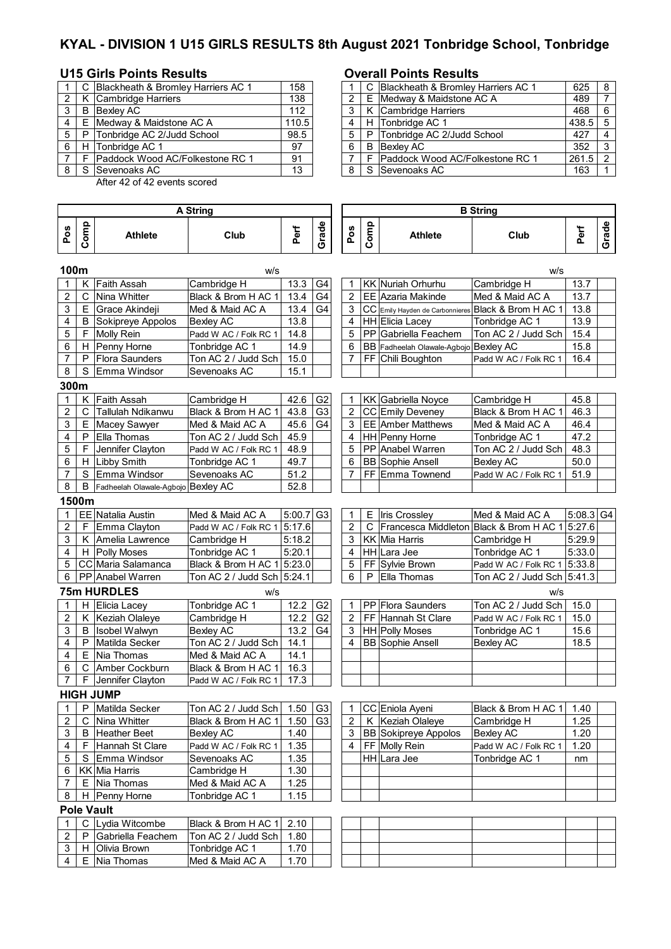# **KYAL - DIVISION 1 U15 GIRLS RESULTS 8th August 2021 Tonbridge School, Tonbridge**

### **U15 Girls Points Results Overall Points Results**

|   |   | C Blackheath & Bromley Harriers AC 1 | 158   |     | C Blackheath & Bromley Harriers AC 1   | 625       | -8 |
|---|---|--------------------------------------|-------|-----|----------------------------------------|-----------|----|
| 2 |   | Cambridge Harriers                   | 138   |     | E Medway & Maidstone AC A              | 489       |    |
| 3 | B | Bexley AC                            | 112   |     | K Cambridge Harriers                   | 468       | -6 |
| 4 | Е | Medway & Maidstone AC A              | 110.5 |     | H Tonbridge AC 1                       | $438.5$ 5 |    |
| 5 | P | Tonbridge AC 2/Judd School           | 98.5  |     | P Tonbridge AC 2/Judd School           | 427       | 4  |
| 6 |   | H Tonbridge AC 1                     | 97    | - 6 | <b>B</b> Bexlev AC                     | 352       | -3 |
|   |   | Paddock Wood AC/Folkestone RC 1      | 91    |     | <b>Paddock Wood AC/Folkestone RC 1</b> | $261.5$ 2 |    |
| 8 | S | <b>Sevenoaks AC</b>                  | 13    |     | S Sevenoaks AC                         | 163       |    |

After 42 of 42 events scored

### **Pos Comp Athlete Club Perf Grade Pos Comp Athlete Club Perf Grade 100m** w/s w/s K Faith Assah Cambridge H 13.3 G4 | 1 KK Nuriah Orhurhu Cambridge H 13.7 2 C Nina Whitter Black & Brom H AC 1 13.4 G4 2 EE Azaria Makinde Med & Maid AC A 2 13.7  $3 \mid E$  Grace Akindeji Med & Maid AC A  $\mid 13.4 \mid G4 \mid 3 \mid CC$  Emily Hayden de Carbonnieres Black & Brom H AC 1 13.8 4 | B Sokipreye Appolos | Bexley AC | 13.8 | | | 4 | HH Elicia Lacey | Tonbridge AC 1 | 13.9 5 | F |Molly Rein | Padd W AC / Folk RC 1 | 14.8 | | | | 5 | PP Gabriella Feachem | Ton AC 2 / Judd Sch | 15.4 6 | H Penny Horne | Tonbridge AC 1 | 14.9 | | 6 | BB Fadheelah Olawale-Agbojo Bexley AC | 15.8 7 P Flora Saunders Ton AC 2 / Judd Sch 15.0 7 FF Chili Boughton Padd W AC / Folk RC 1 16.4 8 S Emma Windsor Sevenoaks AC 15.1 **300m** 1 K Faith Assah Cambridge H 42.6 G2 1 KK Gabriella Noyce Cambridge H 45.8 2 | C | Tallulah Ndikanwu | Black & Brom H AC 1 | 43.8  $|G3|$  | 2 | CC | Emily Deveney | Black & Brom H AC 1 | 46.3  $\begin{array}{|l|c|c|c|c|c|}\n \hline\n 3 & E & \text{Macey Savyer} & \text{Med & Maid AC A} & 45.6 & G4 & 3 & E E | \text{Amber Matthews} & \text{Med & Maid AC A} & 46.4 \\
 \hline\n 4 & P & Ella Thomas & Ton AC 2 / Judd Sch & 45.9 & 4 | HH | \text{Penny Horne} & \text{Tonbridge AC 1} & 47.2\n \end{array}$ 4 P Ella Thomas Ton AC 2 / Judd Sch | 45.9 | | | 4 | HH Penny Horne Tonbridge AC 1 5 | F | Jennifer Clayton | Padd W AC / Folk RC 1 | 48.9 | | | 5 | PP | Anabel Warren | Ton AC 2 / Judd Sch | 48.3 6 | H Libby Smith  $\blacksquare$  Tonbridge AC 1 | 49.7 | | | 6 | BB Sophie Ansell Bexley AC | 50.0 7 S Emma Windsor Sevenoaks AC 51.2 7 FF Emma Townend Padd W AC / Folk RC 1 51.9 8 | B Fadheelah Olawale-Agbojo Bexley AC 52.8 **1500m** 1 EE Natalia Austin Med & Maid AC A 5:00.7 G3 1 E Iris Crossley Med & Maid AC A 5:08.3 G4 2 F Emma Clayton Padd W AC / Folk RC 1 5:17.6 2 C Francesca Middleton Black & Brom H AC 1 5:27.6 3 K Amelia Lawrence Cambridge H 5:18.2 3 KK Mia Harris Cambridge H 5:29.9 4 | H Polly Moses Tonbridge AC 1 | 5:20.1 | 4 | HH Lara Jee | Tonbridge AC 1 | 5:33.0 5 CC Maria Salamanca Black & Brom H AC 1 5:23.0 5 FF Sylvie Brown Padd W AC / Folk RC 1 5:33.8 6 PP Anabel Warren Ton AC 2 / Judd Sch 5:24.1 6 P Ella Thomas Ton AC 2 / Judd Sch 5:41.3 **75m HURDLES** w/s w/s 1 | H Elicia Lacey Tonbridge AC 1 | 12.2 | G2 | 1 | PP Flora Saunders Ton AC 2 / Judd Sch | 15.0 2 K Keziah Olaleye Cambridge H 12.2 G2 2 FF Hannah St Clare Padd W AC / Folk RC 1 15.0<br>3 B Ilsobel Walwyn Bexlev AC 13.2 G4 3 HH Polly Moses Tonbridge AC 1 15.6 3 B Isobel Walwyn Bexley AC 13.2 G4 3 HH Polly Moses Tonbridge AC 1 4 | P | Matilda Secker | Ton AC 2 / Judd Sch | 14.1 | | | | 4 | BB | Sophie Ansell | Bexley AC | 18.5  $4 \mid E \mid$ Nia Thomas Med & Maid AC A  $\mid$  14.1 6 C Amber Cockburn Black & Brom H AC 1 16.3 7 | F Jennifer Clayton | Padd W AC / Folk RC 1 | 17.3 **HIGH JUMP** 1 P Matilda Secker Ton AC 2 / Judd Sch 1.50 G3 1 CC Eniola Ayeni Black & Brom H AC 1 1.40 2 C Nina Whitter Black & Brom H AC 1 1.50 G3 2 K Keziah Olaleye Cambridge H 1.25 3 B Heather Beet Bexley AC 1.40 3 BB Sokipreye Appolos Bexley AC 1.20 4 | F | Hannah St Clare | Padd W AC / Folk RC 1 | 1.35 | | | 4 | FF | Molly Rein | Padd W AC / Folk RC 1 | 1.20 5 S Emma Windsor Sevenoaks AC 1.35 HH HH Lara Jee Tonbridge AC 1 mm 6 | KK | Mia Harris | Cambridge H | 1.30  $7 \mid E$  Nia Thomas Med & Maid AC A  $\mid$  1.25 8 | H Penny Horne | Tonbridge AC 1 | 1.15 **Pole Vault** 1 | C | Lydia Witcombe | Black & Brom H AC 1 | 2.10 P Gabriella Feachem | Ton AC 2 / Judd Sch | 1.80 3 | H Olivia Brown | Tonbridge AC 1 | 1.70  $4 \mid E$  Nia Thomas Med & Maid AC A  $\mid$  1.70 **B String A String**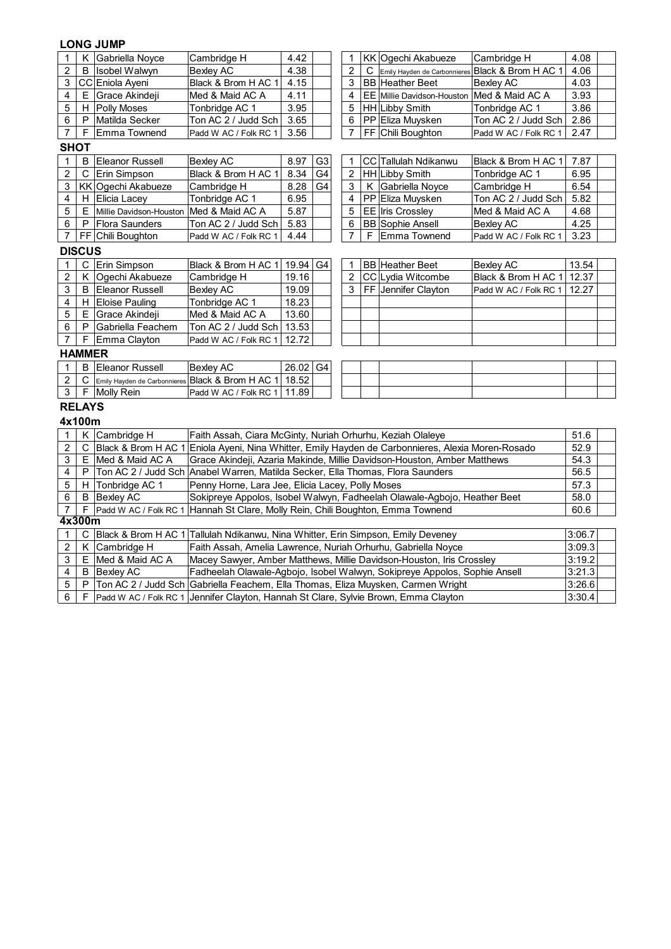# **LONG JUMP**

| 1                       | Κ           | Gabriella Noyce                         | Cambridge H                                                                                       | 4.42                                                                               |    | 1                       |   | KK Ogechi Akabueze                                                        | Cambridge H           | 4.08   |  |  |  |  |
|-------------------------|-------------|-----------------------------------------|---------------------------------------------------------------------------------------------------|------------------------------------------------------------------------------------|----|-------------------------|---|---------------------------------------------------------------------------|-----------------------|--------|--|--|--|--|
| $\overline{c}$          | B           | <b>Isobel Walwyn</b>                    | Bexley AC                                                                                         | 4.38                                                                               |    | 2                       | С | Emily Hayden de Carbonnieres                                              | Black & Brom H AC 1   | 4.06   |  |  |  |  |
| 3                       |             | CC Eniola Ayeni                         | Black & Brom H AC 1                                                                               | 4.15                                                                               |    | 3                       |   | <b>BB</b> Heather Beet                                                    | <b>Bexley AC</b>      | 4.03   |  |  |  |  |
| 4                       | Ε           | Grace Akindeji                          | Med & Maid AC A                                                                                   | 4.11                                                                               |    | 4                       |   | EE Millie Davidson-Houston Med & Maid AC A                                |                       | 3.93   |  |  |  |  |
| 5                       | H           | Polly Moses                             | Tonbridge AC 1                                                                                    | 3.95                                                                               |    | 5                       |   | <b>HH</b> Libby Smith                                                     | Tonbridge AC 1        | 3.86   |  |  |  |  |
| 6                       | P           | Matilda Secker                          | Ton AC 2 / Judd Sch                                                                               | 3.65                                                                               |    | 6                       |   | PP Eliza Muysken                                                          | Ton AC 2 / Judd Sch   | 2.86   |  |  |  |  |
| $\overline{7}$          | F           | Emma Townend                            | Padd W AC / Folk RC 1                                                                             | 3.56                                                                               |    | $\overline{7}$          |   | FF Chili Boughton                                                         | Padd W AC / Folk RC 1 | 2.47   |  |  |  |  |
| <b>SHOT</b>             |             |                                         |                                                                                                   |                                                                                    |    |                         |   |                                                                           |                       |        |  |  |  |  |
| 1                       | B           | Eleanor Russell                         | <b>Bexley AC</b>                                                                                  | CC Tallulah Ndikanwu<br>8.97<br>G <sub>3</sub><br>Black & Brom H AC 1<br>7.87<br>1 |    |                         |   |                                                                           |                       |        |  |  |  |  |
| $\overline{c}$          | С           | Erin Simpson                            | Black & Brom H AC 1                                                                               | 8.34                                                                               | G4 | $\overline{c}$          |   | HH Libby Smith                                                            | Tonbridge AC 1        | 6.95   |  |  |  |  |
| 3                       |             | KK Ogechi Akabueze                      | Cambridge H                                                                                       | 8.28                                                                               | G4 | 3                       | K | Gabriella Noyce                                                           | Cambridge H           | 6.54   |  |  |  |  |
| $\overline{\mathbf{4}}$ | н           | <b>Elicia Lacey</b>                     | Tonbridge AC 1                                                                                    | 6.95                                                                               |    | $\overline{4}$          |   | PP Eliza Muysken                                                          | Ton AC 2 / Judd Sch   | 5.82   |  |  |  |  |
| 5                       | $\mathsf E$ | Millie Davidson-Houston Med & Maid AC A |                                                                                                   | 5.87<br>5<br>EE Iris Crossley<br>Med & Maid AC A<br>4.68                           |    |                         |   |                                                                           |                       |        |  |  |  |  |
| 6                       | P           | <b>Flora Saunders</b>                   | Ton AC 2 / Judd Sch                                                                               | <b>BB</b> Sophie Ansell<br>4.25<br>5.83<br>6<br><b>Bexley AC</b>                   |    |                         |   |                                                                           |                       |        |  |  |  |  |
| $\overline{7}$          |             | FF Chili Boughton                       | Padd W AC / Folk RC 1                                                                             | 4.44                                                                               |    | 7                       | F | Emma Townend                                                              | Padd W AC / Folk RC 1 | 3.23   |  |  |  |  |
| <b>DISCUS</b>           |             |                                         |                                                                                                   |                                                                                    |    |                         |   |                                                                           |                       |        |  |  |  |  |
| $\mathbf{1}$            | C           | Erin Simpson                            | Black & Brom H AC 1   19.94                                                                       |                                                                                    | G4 | 1                       |   | <b>BB</b> Heather Beet                                                    | <b>Bexley AC</b>      | 13.54  |  |  |  |  |
| $\overline{\mathbf{c}}$ | Κ           | Ogechi Akabueze                         | Cambridge H                                                                                       | 19.16                                                                              |    | $\overline{\mathbf{c}}$ |   | CC Lydia Witcombe                                                         | Black & Brom H AC 1   | 12.37  |  |  |  |  |
| 3                       | B           | <b>Eleanor Russell</b>                  | <b>Bexley AC</b>                                                                                  | 19.09                                                                              |    | 3                       |   | FF Jennifer Clayton                                                       | Padd W AC / Folk RC 1 | 12.27  |  |  |  |  |
| $\overline{\mathbf{4}}$ | H           | <b>Eloise Pauling</b>                   | Tonbridge AC 1                                                                                    | 18.23                                                                              |    |                         |   |                                                                           |                       |        |  |  |  |  |
| 5                       | Ε           | Grace Akindeji                          | Med & Maid AC A                                                                                   | 13.60                                                                              |    |                         |   |                                                                           |                       |        |  |  |  |  |
| 6                       | P           | Gabriella Feachem                       | Ton AC 2 / Judd Sch 13.53                                                                         |                                                                                    |    |                         |   |                                                                           |                       |        |  |  |  |  |
| $\overline{7}$          | F           | Emma Clayton                            | Padd W AC / Folk RC 1                                                                             | 12.72                                                                              |    |                         |   |                                                                           |                       |        |  |  |  |  |
| <b>HAMMER</b>           |             |                                         |                                                                                                   |                                                                                    |    |                         |   |                                                                           |                       |        |  |  |  |  |
| 1                       | B           | <b>Eleanor Russell</b>                  | <b>Bexley AC</b>                                                                                  | 26.02                                                                              | G4 |                         |   |                                                                           |                       |        |  |  |  |  |
| 2                       | C           |                                         | Emily Hayden de Carbonnieres Black & Brom H AC 1   18.52                                          |                                                                                    |    |                         |   |                                                                           |                       |        |  |  |  |  |
| $\mathbf{3}$            | F           | <b>Molly Rein</b>                       | Padd W AC / Folk RC 1                                                                             | 11.89                                                                              |    |                         |   |                                                                           |                       |        |  |  |  |  |
| <b>RELAYS</b>           |             |                                         |                                                                                                   |                                                                                    |    |                         |   |                                                                           |                       |        |  |  |  |  |
| 4x100m                  |             |                                         |                                                                                                   |                                                                                    |    |                         |   |                                                                           |                       |        |  |  |  |  |
| $\mathbf{1}$            | Κ           | Cambridge H                             | Faith Assah, Ciara McGinty, Nuriah Orhurhu, Keziah Olaleye                                        |                                                                                    |    |                         |   |                                                                           |                       | 51.6   |  |  |  |  |
| $\overline{c}$          | С           |                                         | Black & Brom H AC 1 Eniola Ayeni, Nina Whitter, Emily Hayden de Carbonnieres, Alexia Moren-Rosado |                                                                                    |    |                         |   |                                                                           |                       | 52.9   |  |  |  |  |
| 3                       | Е           | Med & Maid AC A                         |                                                                                                   |                                                                                    |    |                         |   | Grace Akindeji, Azaria Makinde, Millie Davidson-Houston, Amber Matthews   |                       | 54.3   |  |  |  |  |
| 4                       | P           |                                         | Ton AC 2 / Judd Sch Anabel Warren, Matilda Secker, Ella Thomas, Flora Saunders                    |                                                                                    |    |                         |   |                                                                           |                       | 56.5   |  |  |  |  |
| 5                       | H           | Tonbridge AC 1                          | Penny Horne, Lara Jee, Elicia Lacey, Polly Moses                                                  |                                                                                    |    |                         |   |                                                                           |                       | 57.3   |  |  |  |  |
| 6                       | B           | <b>Bexley AC</b>                        |                                                                                                   | Sokipreye Appolos, Isobel Walwyn, Fadheelah Olawale-Agbojo, Heather Beet<br>58.0   |    |                         |   |                                                                           |                       |        |  |  |  |  |
| $\overline{7}$          | F           |                                         | Padd W AC / Folk RC 1 Hannah St Clare, Molly Rein, Chili Boughton, Emma Townend<br>60.6           |                                                                                    |    |                         |   |                                                                           |                       |        |  |  |  |  |
| 4x300m                  |             |                                         |                                                                                                   |                                                                                    |    |                         |   |                                                                           |                       |        |  |  |  |  |
| 1                       | C           |                                         | Black & Brom H AC 1 Tallulah Ndikanwu, Nina Whitter, Erin Simpson, Emily Deveney                  |                                                                                    |    |                         |   |                                                                           |                       | 3:06.7 |  |  |  |  |
| $\boldsymbol{2}$        | Κ           | Cambridge H                             | Faith Assah, Amelia Lawrence, Nuriah Orhurhu, Gabriella Noyce                                     |                                                                                    |    |                         |   |                                                                           |                       | 3:09.3 |  |  |  |  |
| 3                       | Е           | Med & Maid AC A                         |                                                                                                   |                                                                                    |    |                         |   | Macey Sawyer, Amber Matthews, Millie Davidson-Houston, Iris Crossley      |                       | 3:19.2 |  |  |  |  |
| 4                       | B           | <b>Bexley AC</b>                        |                                                                                                   |                                                                                    |    |                         |   | Fadheelah Olawale-Agbojo, Isobel Walwyn, Sokipreye Appolos, Sophie Ansell |                       | 3:21.3 |  |  |  |  |
| 5                       | P           |                                         | Ton AC 2 / Judd Sch Gabriella Feachem, Ella Thomas, Eliza Muysken, Carmen Wright                  |                                                                                    |    |                         |   |                                                                           |                       | 3:26.6 |  |  |  |  |
| 6                       | F           |                                         | Padd W AC / Folk RC 1 Jennifer Clayton, Hannah St Clare, Sylvie Brown, Emma Clayton               |                                                                                    |    |                         |   |                                                                           |                       | 3:30.4 |  |  |  |  |